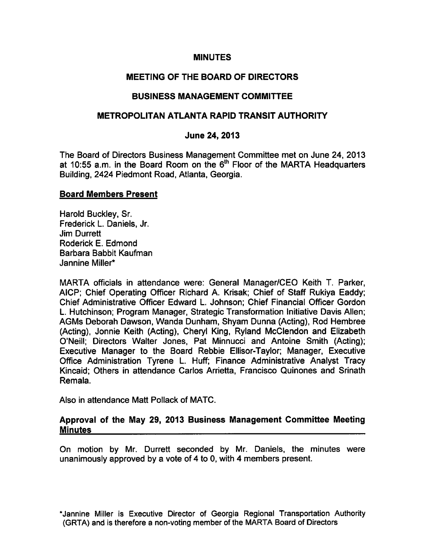## MINUTES

# MEETING OF THE BOARD OF DIRECTORS

# BUSINESS MANAGEMENT COMMITTEE

# METROPOLITAN ATLANTA RAPID TRANSIT AUTHORITY

# June 24, 2013

The Board of Directors Business Management Committee met on June 24, 2013 at 10:55 a.m. in the Board Room on the  $6<sup>th</sup>$  Floor of the MARTA Headquarters Building, 2424 Piedmont Road, Atlanta, Georgia.

## Board Members Present

Harold Buckley, Sr. Frederick L. Daniels, Jr. Jim Durrett Roderick E. Edmond Barbara Babbit Kaufman Jannine Miller\*

MARTA officials in attendance were: General Manager/CEO Keith T. Parker, AICP; Chief Operating Officer Richard A. Krisak; Chief of Staff Rukiya Eaddy; Chief Administrative Officer Edward L. Johnson; Chief Financial Officer Gordon L. Hutchinson; Program Manager, Strategic Transformation Initiative Davis Allen; AGMs Deborah Dawson, Wanda Dunham, Shyam Dunna (Acting), Rod Hembree (Acting), Jonnie Keith (Acting), Cheryl King, Ryland McClendon and Elizabeth O'Neill; Directors Walter Jones, Pat Minnucci and Antoine Smith (Acting); Executive Manager to the Board Rebbie Ellisor-Taylor; Manager, Executive Office Administration Tyrene L. Huff; Finance Administrative Analyst Tracy Kincaid; Others in attendance Carlos Arrietta, Francisco Quinones and Srinath Remala.

Also in attendance Matt Pollack of MATC.

# Approval of the May 29, 2013 Business Management Committee Meeting **Minutes**

On motion by Mr. Durrett seconded by Mr. Daniels, the minutes were unanimously approved by a vote of 4 to 0, with 4 members present.

\*Jannine Miller is Executive Director of Georgia Regional Transportation Authority (GRTA) and is therefore a non-voting member of the MARTA Board of Directors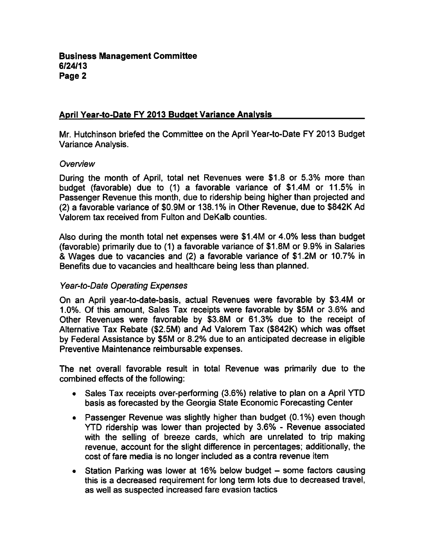# April Year-to-Date FY 2013 Budget Variance Analysis

Mr. Hutchinson briefed the Committee on the April Year-to-Date FY 2013 Budget Variance Analysis.

#### **Overview**

During the month of April, total net Revenues were \$1.8 or 5.3% more than budget (favorable) due to (1) a favorable variance of \$1.4M or 11.5% in Passenger Revenue this month, due to ridership being higher than projected and (2) a favorable variance of \$0.9M or 138.1% in Other Revenue, due to \$842K Ad Valorem tax received from Fulton and DeKalb counties.

Also during the month total net expenses were \$1.4M or 4.0% less than budget (favorable) primarily due to (1) a favorable variance of \$1.8M or 9.9% in Salaries & Wages due to vacancies and (2) a favorable variance of \$1.2M or 10.7% in Benefits due to vacancies and healthcare being less than planned.

#### Year-to-Date Operating Expenses

On an April year-to-date-basis, actual Revenues were favorable by \$3.4M or 1.0%. Of this amount, Sales Tax receipts were favorable by \$5M or 3.6% and Other Revenues were favorable by \$3.8M or 61.3% due to the receipt of Alternative Tax Rebate (\$2.5M) and Ad Valorem Tax (\$842K) which was offset by Federal Assistance by \$5M or 8.2% due to an anticipated decrease in eligible Preventive Maintenance reimbursable expenses.

The net overall favorable result in total Revenue was primarily due to the combined effects of the following:

- Sales Tax receipts over-performing (3.6%) relative to plan on April YTD  $\bullet$ basis as forecasted by the Georgia State Economic Forecasting Center
- Passenger Revenue was slightly higher than budget (0.1%) even though YTD ridership was lower than projected by 3.6% - Revenue associated with the selling of breeze cards, which are unrelated to trip making revenue, account for the slight difference in percentages; additionally, the cost of fare media is no longer included as contra revenue item
- Station Parking was lower at 16% below budget some factors causing this is decreased requirement for long term lots due to decreased travel, as well as suspected increased fare evasion tactics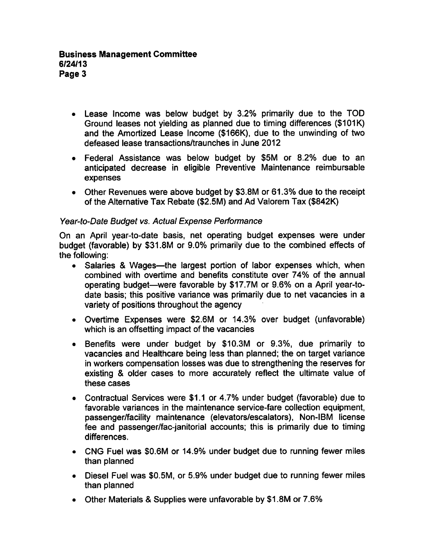- Lease Income was below budget by 3.2% primarily due to the TOD Ground leases not yielding as planned due to timing differences (\$101K) and the Amortized Lease Income (\$166K), due to the unwinding of two defeased lease transactions/traunches in June 2012
- Federal Assistance was below budget by \$5M or 8.2% due to an anticipated decrease in eligible Preventive Maintenance reimbursable expenses
- Other Revenues were above budget by \$3.8M or 61.3% due to the receipt of the Alternative Tax Rebate (\$2.5M) and Ad Valorem Tax (\$842K)

# Year-to-Date Budget vs. Actual Expense Performance

On an April year-to-date basis, net operating budget expenses were under budget (favorable) by \$31.8M or 9.0% primarily due to the combined effects of the following:

- Salaries & Wages—the largest portion of labor expenses which, when combined with overtime and benefits constitute over 74% of the annual operating budget—were favorable by \$17.7M or 9.6% on a April year-todate basis; this positive variance was primarily due to net vacancies in a variety of positions throughout the agency
- Overtime Expenses were \$2.6M or 14.3% over budget (unfavorable) which is an offsetting impact of the vacancies
- Benefits were under budget by \$10.3M or 9.3%, due primarily to  $\bullet$ vacancies and Healthcare being less than planned; the on target variance in workers compensation losses was due to strengthening the reserves for existing & older cases to more accurately reflect the ultimate value of these cases
- Contractual Services were \$1.1 or 4.7% under budget (favorable) due to favorable variances in the maintenance service-fare collection equipment, passenger/facility maintenance (elevators/escalators), Non-IBM license fee and passenger/fac-janitorial accounts; this is primarily due to timing differences.
- CNG Fuel was \$0.6M or 14.9% under budget due to running fewer miles than planned
- Diesel Fuel was \$0.5M, or 5.9% under budget due to running fewer miles than planned
- Other Materials & Supplies were unfavorable by \$1.8M or 7.6%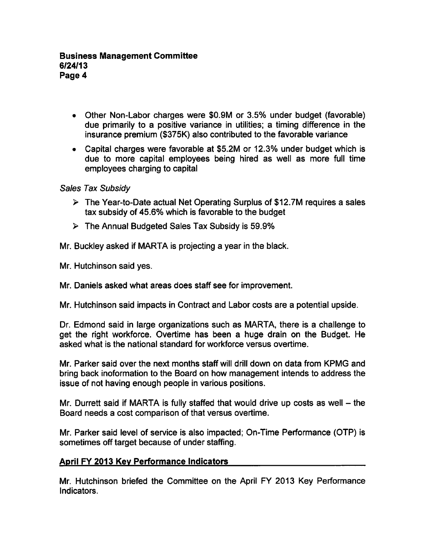- Other Non-Labor charges were \$0.9M or 3.5% under budget (favorable) due primarily to a positive variance in utilities; a timing difference in the insurance premium (\$375K) also contributed to the favorable variance
- Capital charges were favorable at \$5.2M or 12.3% under budget which is due to more capital employees being hired as well as more full time employees charging to capital

Sales Tax Subsidy

- $\triangleright$  The Year-to-Date actual Net Operating Surplus of \$12.7M requires a sales tax subsidy of 45.6% which is favorable to the budget
- $\triangleright$  The Annual Budgeted Sales Tax Subsidy is 59.9%

Mr. Buckley asked if MARTA is projecting a year in the black.

Mr. Hutchinson said yes.

Mr. Daniels asked what areas does staff see for improvement.

Mr. Hutchinson said impacts in Contract and Labor costs are a potential upside.

Dr. Edmond said in large organizations such as MARTA, there is challenge to get the right workforce. Overtime has been a huge drain on the Budget. He asked what is the national standard for workforce versus overtime.

Mr. Parker said over the next months staff will drill down on data from KPMG and bring back inoformation to the Board on how management intends to address the issue of not having enough people in various positions.

Mr. Durrett said if MARTA is fully staffed that would drive up costs as well  $-$  the Board needs a cost comparison of that versus overtime.

Mr. Parker said level of service is also impacted; On-Time Performance (OTP) is sometimes off target because of under staffing.

# April FY 2013 Key Performance Indicators

Mr. Hutchinson briefed the Committee on the April FY 2013 Key Performance Indicators.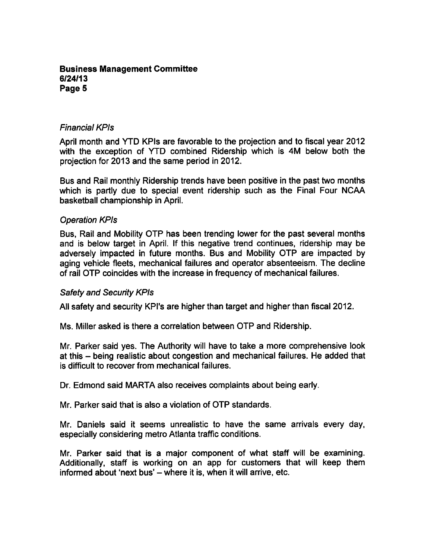## Business Management Committee 6/24/13 Page 5

## Financial KPIs

April month and YTD KPIs are favorable to the projection and to fiscal year 2012 with the exception of YTD combined Ridership which is 4M below both the projection for 2013 and the same period in 2012.

Bus and Rail monthly Ridership trends have been positive in the past two months which is partly due to special event ridership such as the Final Four NCAA basketball championship in April.

## Operation KPis

Bus, Rail and Mobility OTP has been trending lower for the past several months and is below target in April. If this negative trend continues, ridership may be adversely impacted in future months. Bus and Mobility OTP are impacted by aging vehicle fleets, mechanical failures and operator absenteeism. The decline of rail OTP coincides with the increase in frequency of mechanical failures.

#### Safety and Security KPIs

All safety and security KPI's are higher than target and higher than fiscal 2012.

Ms. Miller asked is there a correlation between OTP and Ridership.

Mr. Parker said yes. The Authority will have to take a more comprehensive look at this – being realistic about congestion and mechanical failures. He added that is difficult to recover from mechanical failures.

Dr. Edmond said MARTA also receives complaints about being early.

Mr. Parker said that is also a violation of OTP standards.

Mr. Daniels said it seems unrealistic to have the same arrivals every day, especially considering metro Atlanta traffic conditions.

Mr. Parker said that is a major component of what staff will be examining. Additionally, staff is working on an app for customers that will keep them informed about 'next bus'  $-$  where it is, when it will arrive, etc.